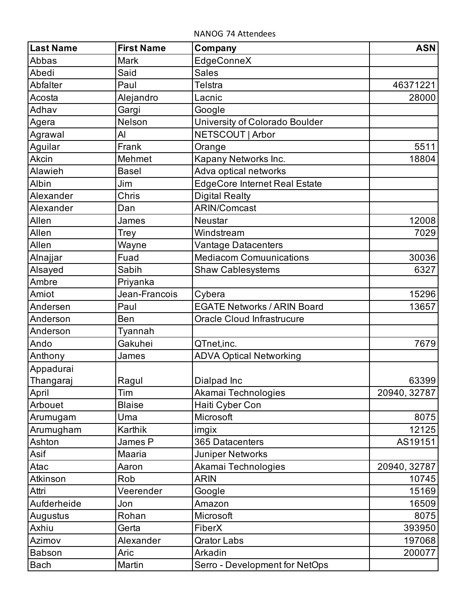NANOG 74 Attendees

| <b>Last Name</b> | <b>First Name</b> | Company                              | <b>ASN</b>   |
|------------------|-------------------|--------------------------------------|--------------|
| Abbas            | <b>Mark</b>       | EdgeConneX                           |              |
| Abedi            | Said              | <b>Sales</b>                         |              |
| Abfalter         | Paul              | <b>Telstra</b>                       | 46371221     |
| Acosta           | Alejandro         | Lacnic                               | 28000        |
| Adhav            | Gargi             | Google                               |              |
| Agera            | Nelson            | University of Colorado Boulder       |              |
| Agrawal          | Al                | NETSCOUT   Arbor                     |              |
| Aguilar          | Frank             | Orange                               | 5511         |
| Akcin            | Mehmet            | Kapany Networks Inc.                 | 18804        |
| Alawieh          | <b>Basel</b>      | Adva optical networks                |              |
| Albin            | Jim               | <b>EdgeCore Internet Real Estate</b> |              |
| Alexander        | Chris             | <b>Digital Realty</b>                |              |
| Alexander        | Dan               | <b>ARIN/Comcast</b>                  |              |
| Allen            | James             | <b>Neustar</b>                       | 12008        |
| Allen            | <b>Trey</b>       | Windstream                           | 7029         |
| Allen            | Wayne             | Vantage Datacenters                  |              |
| Alnajjar         | Fuad              | <b>Mediacom Comuunications</b>       | 30036        |
| Alsayed          | Sabih             | <b>Shaw Cablesystems</b>             | 6327         |
| Ambre            | Priyanka          |                                      |              |
| Amiot            | Jean-Francois     | Cybera                               | 15296        |
| Andersen         | Paul              | <b>EGATE Networks / ARIN Board</b>   | 13657        |
| Anderson         | Ben               | <b>Oracle Cloud Infrastrucure</b>    |              |
| Anderson         | Tyannah           |                                      |              |
| Ando             | Gakuhei           | QTnet,inc.                           | 7679         |
| Anthony          | James             | <b>ADVA Optical Networking</b>       |              |
| Appadurai        |                   |                                      |              |
| Thangaraj        | Ragul             | Dialpad Inc                          | 63399        |
| April            | Tim               | Akamai Technologies                  | 20940, 32787 |
| Arbouet          | <b>Blaise</b>     | Haiti Cyber Con                      |              |
| Arumugam         | Uma               | Microsoft                            | 8075         |
| Arumugham        | Karthik           | imgix                                | 12125        |
| Ashton           | James P           | 365 Datacenters                      | AS19151      |
| Asif             | Maaria            | <b>Juniper Networks</b>              |              |
| Atac             | Aaron             | Akamai Technologies                  | 20940, 32787 |
| Atkinson         | Rob               | <b>ARIN</b>                          | 10745        |
| Attri            | Veerender         | Google                               | 15169        |
| Aufderheide      | Jon               | Amazon                               | 16509        |
| Augustus         | Rohan             | Microsoft                            | 8075         |
| Axhiu            | Gerta             | FiberX                               | 393950       |
| Azimov           | Alexander         | <b>Qrator Labs</b>                   | 197068       |
| <b>Babson</b>    | Aric              | Arkadin                              | 200077       |
| <b>Bach</b>      | Martin            | Serro - Development for NetOps       |              |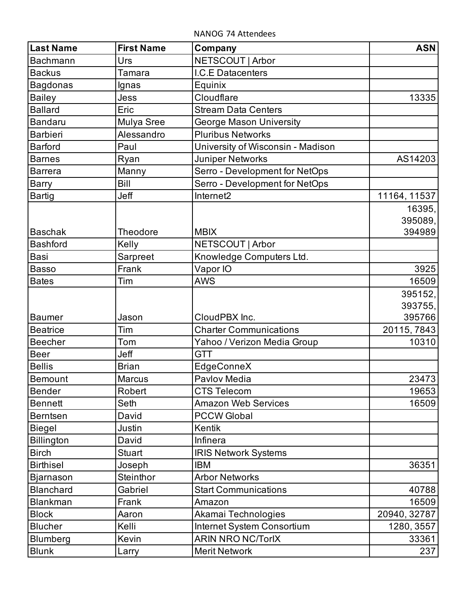NANOG 74 Attendees

| <b>Last Name</b>  | <b>First Name</b> | Company                           | <b>ASN</b>   |
|-------------------|-------------------|-----------------------------------|--------------|
| <b>Bachmann</b>   | Urs               | NETSCOUT   Arbor                  |              |
| <b>Backus</b>     | Tamara            | I.C.E Datacenters                 |              |
| <b>Bagdonas</b>   | Ignas             | Equinix                           |              |
| <b>Bailey</b>     | Jess              | Cloudflare                        | 13335        |
| <b>Ballard</b>    | Eric              | <b>Stream Data Centers</b>        |              |
| <b>Bandaru</b>    | Mulya Sree        | <b>George Mason University</b>    |              |
| <b>Barbieri</b>   | Alessandro        | <b>Pluribus Networks</b>          |              |
| <b>Barford</b>    | Paul              | University of Wisconsin - Madison |              |
| <b>Barnes</b>     | Ryan              | Juniper Networks                  | AS14203      |
| <b>Barrera</b>    | Manny             | Serro - Development for NetOps    |              |
| <b>Barry</b>      | <b>Bill</b>       | Serro - Development for NetOps    |              |
| <b>Bartig</b>     | Jeff              | Internet2                         | 11164, 11537 |
|                   |                   |                                   | 16395,       |
|                   |                   |                                   | 395089,      |
| <b>Baschak</b>    | Theodore          | <b>MBIX</b>                       | 394989       |
| <b>Bashford</b>   | Kelly             | NETSCOUT   Arbor                  |              |
| <b>Basi</b>       | Sarpreet          | Knowledge Computers Ltd.          |              |
| <b>Basso</b>      | Frank             | Vapor IO                          | 3925         |
| <b>Bates</b>      | Tim               | <b>AWS</b>                        | 16509        |
|                   |                   |                                   | 395152,      |
|                   |                   |                                   | 393755,      |
| <b>Baumer</b>     | Jason             | CloudPBX Inc.                     | 395766       |
| <b>Beatrice</b>   | Tim               | <b>Charter Communications</b>     | 20115, 7843  |
| <b>Beecher</b>    | Tom               | Yahoo / Verizon Media Group       | 10310        |
| <b>Beer</b>       | Jeff              | <b>GTT</b>                        |              |
| <b>Bellis</b>     | <b>Brian</b>      | EdgeConneX                        |              |
| <b>Bemount</b>    | <b>Marcus</b>     | Pavlov Media                      | 23473        |
| <b>Bender</b>     | Robert            | <b>CTS Telecom</b>                | 19653        |
| <b>Bennett</b>    | Seth              | <b>Amazon Web Services</b>        | 16509        |
| <b>Berntsen</b>   | David             | <b>PCCW Global</b>                |              |
| Biegel            | Justin            | Kentik                            |              |
| <b>Billington</b> | David             | Infinera                          |              |
| <b>Birch</b>      | Stuart            | <b>IRIS Network Systems</b>       |              |
| <b>Birthisel</b>  | Joseph            | <b>IBM</b>                        | 36351        |
| Bjarnason         | <b>Steinthor</b>  | <b>Arbor Networks</b>             |              |
| <b>Blanchard</b>  | Gabriel           | <b>Start Communications</b>       | 40788        |
| <b>Blankman</b>   | Frank             | Amazon                            | 16509        |
| <b>Block</b>      | Aaron             | Akamai Technologies               | 20940, 32787 |
| <b>Blucher</b>    | Kelli             | Internet System Consortium        | 1280, 3557   |
| <b>Blumberg</b>   | Kevin             | <b>ARIN NRO NC/TorlX</b>          | 33361        |
| <b>Blunk</b>      | Larry             | <b>Merit Network</b>              | 237          |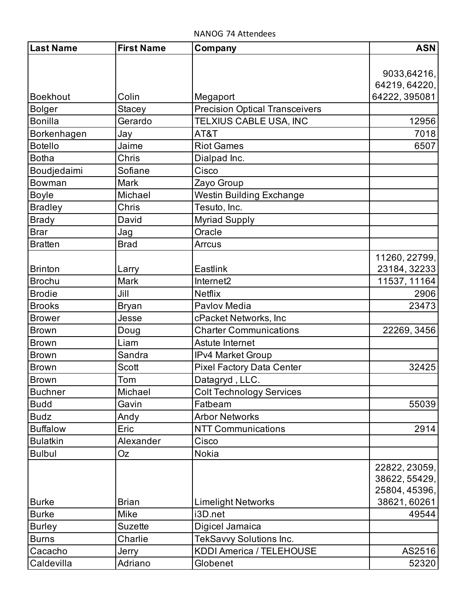| <b>Last Name</b> | <b>First Name</b> | Company                               | <b>ASN</b>    |
|------------------|-------------------|---------------------------------------|---------------|
|                  |                   |                                       |               |
|                  |                   |                                       | 9033,64216,   |
|                  |                   |                                       | 64219, 64220, |
| <b>Boekhout</b>  | Colin             | Megaport                              | 64222, 395081 |
| <b>Bolger</b>    | <b>Stacey</b>     | <b>Precision Optical Transceivers</b> |               |
| <b>Bonilla</b>   | Gerardo           | TELXIUS CABLE USA, INC                | 12956         |
| Borkenhagen      | Jay               | AT&T                                  | 7018          |
| <b>Botello</b>   | Jaime             | <b>Riot Games</b>                     | 6507          |
| <b>Botha</b>     | Chris             | Dialpad Inc.                          |               |
| Boudjedaimi      | Sofiane           | Cisco                                 |               |
| Bowman           | <b>Mark</b>       | Zayo Group                            |               |
| <b>Boyle</b>     | Michael           | <b>Westin Building Exchange</b>       |               |
| <b>Bradley</b>   | Chris             | Tesuto, Inc.                          |               |
| <b>Brady</b>     | David             | <b>Myriad Supply</b>                  |               |
| <b>Brar</b>      | Jag               | Oracle                                |               |
| <b>Bratten</b>   | <b>Brad</b>       | <b>Arrcus</b>                         |               |
|                  |                   |                                       | 11260, 22799, |
| <b>Brinton</b>   | Larry             | Eastlink                              | 23184, 32233  |
| <b>Brochu</b>    | <b>Mark</b>       | Internet2                             | 11537, 11164  |
| <b>Brodie</b>    | Jill              | <b>Netflix</b>                        | 2906          |
| <b>Brooks</b>    | <b>Bryan</b>      | Pavlov Media                          | 23473         |
| <b>Brower</b>    | Jesse             | cPacket Networks, Inc                 |               |
| <b>Brown</b>     | Doug              | <b>Charter Communications</b>         | 22269, 3456   |
| <b>Brown</b>     | Liam              | Astute Internet                       |               |
| <b>Brown</b>     | Sandra            | <b>IPv4 Market Group</b>              |               |
| <b>Brown</b>     | Scott             | <b>Pixel Factory Data Center</b>      | 32425         |
| <b>Brown</b>     | Tom               | Datagryd, LLC.                        |               |
| <b>Buchner</b>   | Michael           | <b>Colt Technology Services</b>       |               |
| <b>Budd</b>      | Gavin             | Fatbeam                               | 55039         |
| <b>Budz</b>      | Andy              | <b>Arbor Networks</b>                 |               |
| <b>Buffalow</b>  | Eric              | <b>NTT Communications</b>             | 2914          |
| <b>Bulatkin</b>  | Alexander         | Cisco                                 |               |
| <b>Bulbul</b>    | Oz                | Nokia                                 |               |
|                  |                   |                                       | 22822, 23059, |
|                  |                   |                                       | 38622, 55429, |
|                  |                   |                                       | 25804, 45396, |
| <b>Burke</b>     | <b>Brian</b>      | <b>Limelight Networks</b>             | 38621, 60261  |
| <b>Burke</b>     | Mike              | i3D.net                               | 49544         |
| <b>Burley</b>    | <b>Suzette</b>    | Digicel Jamaica                       |               |
| <b>Burns</b>     | Charlie           | <b>TekSavvy Solutions Inc.</b>        |               |
| Cacacho          | Jerry             | <b>KDDI America / TELEHOUSE</b>       | AS2516        |
| Caldevilla       | Adriano           | Globenet                              | 52320         |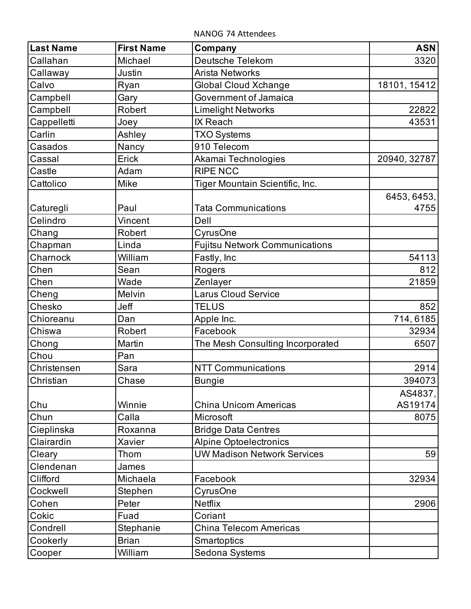NANOG 74 Attendees

| <b>Last Name</b> | <b>First Name</b> | Company                               | <b>ASN</b>   |
|------------------|-------------------|---------------------------------------|--------------|
| Callahan         | Michael           | <b>Deutsche Telekom</b>               | 3320         |
| Callaway         | Justin            | Arista Networks                       |              |
| Calvo            | Ryan              | <b>Global Cloud Xchange</b>           | 18101, 15412 |
| Campbell         | Gary              | Government of Jamaica                 |              |
| Campbell         | Robert            | <b>Limelight Networks</b>             | 22822        |
| Cappelletti      | Joey              | IX Reach                              | 43531        |
| Carlin           | Ashley            | <b>TXO Systems</b>                    |              |
| Casados          | Nancy             | 910 Telecom                           |              |
| Cassal           | Erick             | Akamai Technologies                   | 20940, 32787 |
| Castle           | Adam              | <b>RIPE NCC</b>                       |              |
| Cattolico        | Mike              | Tiger Mountain Scientific, Inc.       |              |
|                  |                   |                                       | 6453, 6453,  |
| Caturegli        | Paul              | <b>Tata Communications</b>            | 4755         |
| Celindro         | Vincent           | Dell                                  |              |
| Chang            | Robert            | CyrusOne                              |              |
| Chapman          | Linda             | <b>Fujitsu Network Communications</b> |              |
| Charnock         | William           | Fastly, Inc                           | 54113        |
| Chen             | Sean              | Rogers                                | 812          |
| Chen             | Wade              | Zenlayer                              | 21859        |
| Cheng            | Melvin            | <b>Larus Cloud Service</b>            |              |
| Chesko           | Jeff              | <b>TELUS</b>                          | 852          |
| Chioreanu        | Dan               | Apple Inc.                            | 714, 6185    |
| Chiswa           | Robert            | Facebook                              | 32934        |
| Chong            | Martin            | The Mesh Consulting Incorporated      | 6507         |
| Chou             | Pan               |                                       |              |
| Christensen      | Sara              | <b>NTT Communications</b>             | 2914         |
| Christian        | Chase             | <b>Bungie</b>                         | 394073       |
|                  |                   |                                       | AS4837,      |
| Chu              | Winnie            | China Unicom Americas                 | AS19174      |
| Chun             | Calla             | Microsoft                             | 8075         |
| Cieplinska       | Roxanna           | <b>Bridge Data Centres</b>            |              |
| Clairardin       | Xavier            | <b>Alpine Optoelectronics</b>         |              |
| Cleary           | Thom              | <b>UW Madison Network Services</b>    | 59           |
| Clendenan        | James             |                                       |              |
| Clifford         | Michaela          | Facebook                              | 32934        |
| Cockwell         | Stephen           | CyrusOne                              |              |
| Cohen            | Peter             | <b>Netflix</b>                        | 2906         |
| Cokic            | Fuad              | Coriant                               |              |
| Condrell         | Stephanie         | <b>China Telecom Americas</b>         |              |
| Cookerly         | <b>Brian</b>      | Smartoptics                           |              |
| Cooper           | William           | Sedona Systems                        |              |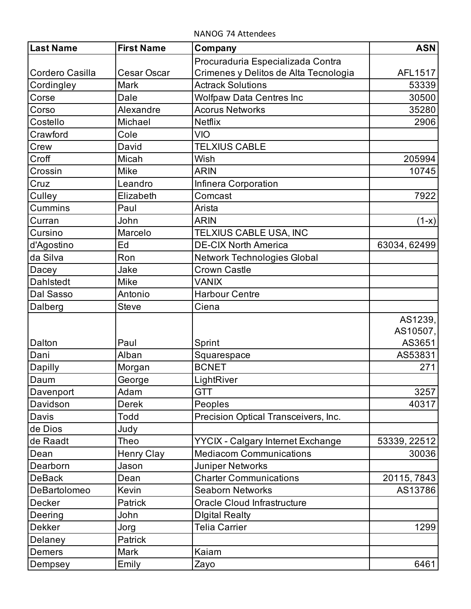NANOG 74 Attendees

| <b>Last Name</b> | <b>First Name</b> | Company                                  | <b>ASN</b>   |
|------------------|-------------------|------------------------------------------|--------------|
|                  |                   | Procuraduria Especializada Contra        |              |
| Cordero Casilla  | Cesar Oscar       | Crimenes y Delitos de Alta Tecnologia    | AFL1517      |
| Cordingley       | <b>Mark</b>       | <b>Actrack Solutions</b>                 | 53339        |
| Corse            | Dale              | <b>Wolfpaw Data Centres Inc</b>          | 30500        |
| Corso            | Alexandre         | <b>Acorus Networks</b>                   | 35280        |
| Costello         | Michael           | <b>Netflix</b>                           | 2906         |
| Crawford         | Cole              | <b>VIO</b>                               |              |
| Crew             | David             | <b>TELXIUS CABLE</b>                     |              |
| Croff            | Micah             | Wish                                     | 205994       |
| Crossin          | Mike              | <b>ARIN</b>                              | 10745        |
| Cruz             | Leandro           | Infinera Corporation                     |              |
| Culley           | Elizabeth         | Comcast                                  | 7922         |
| Cummins          | Paul              | Arista                                   |              |
| Curran           | John              | <b>ARIN</b>                              | $(1-x)$      |
| Cursino          | Marcelo           | TELXIUS CABLE USA, INC                   |              |
| d'Agostino       | Ed                | <b>DE-CIX North America</b>              | 63034, 62499 |
| da Silva         | Ron               | <b>Network Technologies Global</b>       |              |
| Dacey            | Jake              | <b>Crown Castle</b>                      |              |
| <b>Dahlstedt</b> | <b>Mike</b>       | <b>VANIX</b>                             |              |
| Dal Sasso        | Antonio           | <b>Harbour Centre</b>                    |              |
| Dalberg          | <b>Steve</b>      | Ciena                                    |              |
|                  |                   |                                          | AS1239,      |
|                  |                   |                                          | AS10507,     |
| Dalton           | Paul              | Sprint                                   | AS3651       |
| Dani             | Alban             | Squarespace                              | AS53831      |
| Dapilly          | Morgan            | <b>BCNET</b>                             | 271          |
| Daum             | George            | LightRiver                               |              |
| Davenport        | Adam              | <b>GTT</b>                               | 3257         |
| Davidson         | Derek             | Peoples                                  | 40317        |
| Davis            | Todd              | Precision Optical Transceivers, Inc.     |              |
| de Dios          | Judy              |                                          |              |
| de Raadt         | Theo              | <b>YYCIX - Calgary Internet Exchange</b> | 53339, 22512 |
| Dean             | <b>Henry Clay</b> | <b>Mediacom Communications</b>           | 30036        |
| Dearborn         | Jason             | <b>Juniper Networks</b>                  |              |
| <b>DeBack</b>    | Dean              | <b>Charter Communications</b>            | 20115, 7843  |
| DeBartolomeo     | Kevin             | <b>Seaborn Networks</b>                  | AS13786      |
| Decker           | Patrick           | Oracle Cloud Infrastructure              |              |
| Deering          | John              | <b>Digital Realty</b>                    |              |
| <b>Dekker</b>    | Jorg              | <b>Telia Carrier</b>                     | 1299         |
| Delaney          | Patrick           |                                          |              |
| Demers           | <b>Mark</b>       | Kaiam                                    |              |
| Dempsey          | Emily             | Zayo                                     | 6461         |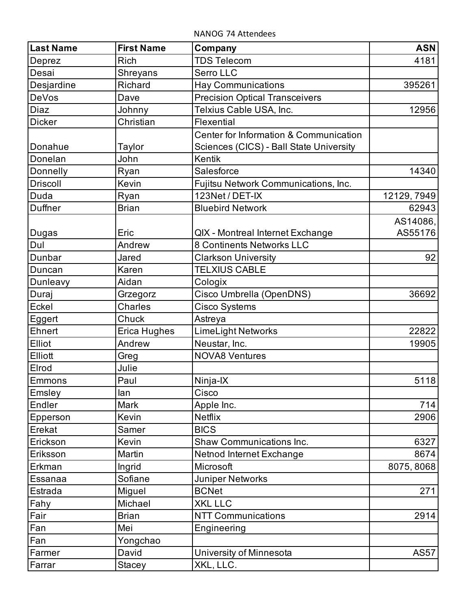NANOG 74 Attendees

| <b>Last Name</b> | <b>First Name</b> | Company                                                                           | <b>ASN</b>  |
|------------------|-------------------|-----------------------------------------------------------------------------------|-------------|
| Deprez           | <b>Rich</b>       | <b>TDS Telecom</b>                                                                | 4181        |
| Desai            | Shreyans          | Serro LLC                                                                         |             |
| Desjardine       | Richard           | <b>Hay Communications</b>                                                         | 395261      |
| DeVos            | Dave              | <b>Precision Optical Transceivers</b>                                             |             |
| Diaz             | Johnny            | Telxius Cable USA, Inc.                                                           | 12956       |
| <b>Dicker</b>    | Christian         | Flexential                                                                        |             |
| Donahue          | Taylor            | Center for Information & Communication<br>Sciences (CICS) - Ball State University |             |
| Donelan          | John              | Kentik                                                                            |             |
| Donnelly         | Ryan              | Salesforce                                                                        | 14340       |
| <b>Driscoll</b>  | Kevin             | Fujitsu Network Communications, Inc.                                              |             |
| Duda             | Ryan              | 123Net / DET-IX                                                                   | 12129, 7949 |
| Duffner          | <b>Brian</b>      | <b>Bluebird Network</b>                                                           | 62943       |
|                  |                   |                                                                                   | AS14086,    |
| Dugas            | Eric              | QIX - Montreal Internet Exchange                                                  | AS55176     |
| Dul              | Andrew            | 8 Continents Networks LLC                                                         |             |
| Dunbar           | Jared             | <b>Clarkson University</b>                                                        | 92          |
| Duncan           | Karen             | <b>TELXIUS CABLE</b>                                                              |             |
| Dunleavy         | Aidan             | Cologix                                                                           |             |
| Duraj            | Grzegorz          | Cisco Umbrella (OpenDNS)                                                          | 36692       |
| Eckel            | Charles           | Cisco Systems                                                                     |             |
| Eggert           | Chuck             | Astreya                                                                           |             |
| Ehnert           | Erica Hughes      | LimeLight Networks                                                                | 22822       |
| Elliot           | Andrew            | Neustar, Inc.                                                                     | 19905       |
| Elliott          | Greg              | <b>NOVA8 Ventures</b>                                                             |             |
| Elrod            | Julie             |                                                                                   |             |
| Emmons           | Paul              | Ninja-IX                                                                          | 5118        |
| Emsley           | lan               | Cisco                                                                             |             |
| Endler           | <b>Mark</b>       | Apple Inc.                                                                        | 714         |
| Epperson         | Kevin             | <b>Netflix</b>                                                                    | 2906        |
| Erekat           | Samer             | <b>BICS</b>                                                                       |             |
| Erickson         | Kevin             | <b>Shaw Communications Inc.</b>                                                   | 6327        |
| Eriksson         | Martin            | Netnod Internet Exchange                                                          | 8674        |
| Erkman           | Ingrid            | Microsoft                                                                         | 8075, 8068  |
| Essanaa          | Sofiane           | <b>Juniper Networks</b>                                                           |             |
| Estrada          | Miguel            | <b>BCNet</b>                                                                      | 271         |
| Fahy             | Michael           | <b>XKL LLC</b>                                                                    |             |
| Fair             | <b>Brian</b>      | <b>NTT Communications</b>                                                         | 2914        |
| Fan              | Mei               | Engineering                                                                       |             |
| Fan              | Yongchao          |                                                                                   |             |
| Farmer           | David             | University of Minnesota                                                           | <b>AS57</b> |
| Farrar           | <b>Stacey</b>     | XKL, LLC.                                                                         |             |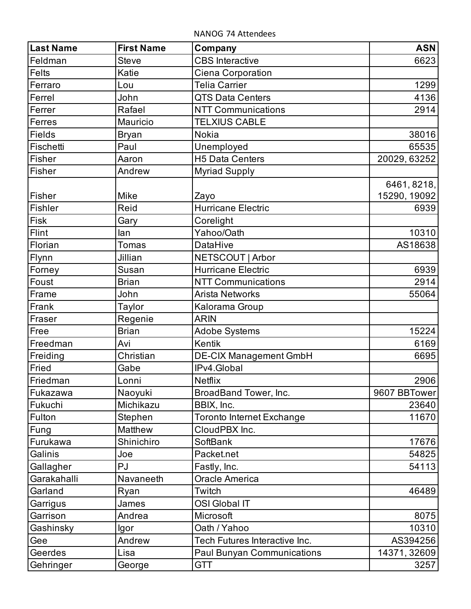NANOG 74 Attendees

| <b>Last Name</b> | <b>First Name</b> | Company                           | <b>ASN</b>   |
|------------------|-------------------|-----------------------------------|--------------|
| Feldman          | <b>Steve</b>      | <b>CBS</b> Interactive            | 6623         |
| <b>Felts</b>     | Katie             | Ciena Corporation                 |              |
| Ferraro          | Lou               | <b>Telia Carrier</b>              | 1299         |
| Ferrel           | John              | <b>QTS Data Centers</b>           | 4136         |
| Ferrer           | Rafael            | <b>NTT Communications</b>         | 2914         |
| Ferres           | Mauricio          | <b>TELXIUS CABLE</b>              |              |
| <b>Fields</b>    | <b>Bryan</b>      | <b>Nokia</b>                      | 38016        |
| Fischetti        | Paul              | Unemployed                        | 65535        |
| Fisher           | Aaron             | <b>H5 Data Centers</b>            | 20029, 63252 |
| Fisher           | Andrew            | <b>Myriad Supply</b>              |              |
|                  |                   |                                   | 6461, 8218,  |
| Fisher           | Mike              | Zayo                              | 15290, 19092 |
| Fishler          | Reid              | <b>Hurricane Electric</b>         | 6939         |
| <b>Fisk</b>      | Gary              | Corelight                         |              |
| Flint            | lan               | Yahoo/Oath                        | 10310        |
| Florian          | <b>Tomas</b>      | <b>DataHive</b>                   | AS18638      |
| Flynn            | Jillian           | NETSCOUT   Arbor                  |              |
| Forney           | Susan             | <b>Hurricane Electric</b>         | 6939         |
| Foust            | <b>Brian</b>      | <b>NTT Communications</b>         | 2914         |
| Frame            | John              | <b>Arista Networks</b>            | 55064        |
| Frank            | Taylor            | Kalorama Group                    |              |
| Fraser           | Regenie           | <b>ARIN</b>                       |              |
| Free             | <b>Brian</b>      | <b>Adobe Systems</b>              | 15224        |
| Freedman         | Avi               | Kentik                            | 6169         |
| Freiding         | Christian         | <b>DE-CIX Management GmbH</b>     | 6695         |
| Fried            | Gabe              | IPv4.Global                       |              |
| Friedman         | Lonni             | <b>Netflix</b>                    | 2906         |
| Fukazawa         | Naoyuki           | BroadBand Tower, Inc.             | 9607 BBTower |
| Fukuchi          | Michikazu         | BBIX, Inc.                        | 23640        |
| Fulton           | Stephen           | <b>Toronto Internet Exchange</b>  | 11670        |
| Fung             | Matthew           | CloudPBX Inc.                     |              |
| Furukawa         | Shinichiro        | SoftBank                          | 17676        |
| Galinis          | Joe               | Packet.net                        | 54825        |
| Gallagher        | PJ                | Fastly, Inc.                      | 54113        |
| Garakahalli      | Navaneeth         | <b>Oracle America</b>             |              |
| Garland          | Ryan              | Twitch                            | 46489        |
| Garrigus         | James             | <b>OSI Global IT</b>              |              |
| Garrison         | Andrea            | Microsoft                         | 8075         |
| Gashinsky        | lgor              | Oath / Yahoo                      | 10310        |
| Gee              | Andrew            | Tech Futures Interactive Inc.     | AS394256     |
| Geerdes          | Lisa              | <b>Paul Bunyan Communications</b> | 14371, 32609 |
| Gehringer        | George            | <b>GTT</b>                        | 3257         |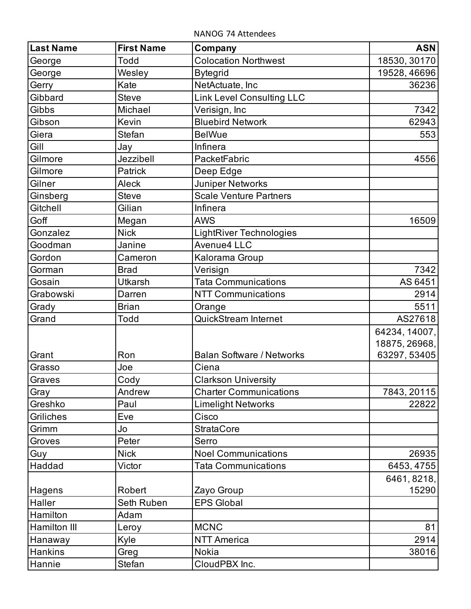NANOG 74 Attendees

| <b>Last Name</b> | <b>First Name</b> | Company                          | <b>ASN</b>    |
|------------------|-------------------|----------------------------------|---------------|
| George           | Todd              | <b>Colocation Northwest</b>      | 18530, 30170  |
| George           | Wesley            | <b>Bytegrid</b>                  | 19528, 46696  |
| Gerry            | Kate              | NetActuate, Inc                  | 36236         |
| Gibbard          | <b>Steve</b>      | <b>Link Level Consulting LLC</b> |               |
| Gibbs            | Michael           | Verisign, Inc                    | 7342          |
| Gibson           | Kevin             | <b>Bluebird Network</b>          | 62943         |
| Giera            | <b>Stefan</b>     | <b>BelWue</b>                    | 553           |
| Gill             | Jay               | Infinera                         |               |
| Gilmore          | Jezzibell         | PacketFabric                     | 4556          |
| Gilmore          | Patrick           | Deep Edge                        |               |
| Gilner           | Aleck             | <b>Juniper Networks</b>          |               |
| Ginsberg         | <b>Steve</b>      | <b>Scale Venture Partners</b>    |               |
| Gitchell         | Gilian            | Infinera                         |               |
| Goff             | Megan             | <b>AWS</b>                       | 16509         |
| Gonzalez         | <b>Nick</b>       | <b>LightRiver Technologies</b>   |               |
| Goodman          | Janine            | Avenue4 LLC                      |               |
| Gordon           | Cameron           | Kalorama Group                   |               |
| Gorman           | <b>Brad</b>       | Verisign                         | 7342          |
| Gosain           | <b>Utkarsh</b>    | <b>Tata Communications</b>       | AS 6451       |
| Grabowski        | Darren            | <b>NTT Communications</b>        | 2914          |
| Grady            | <b>Brian</b>      | Orange                           | 5511          |
| Grand            | Todd              | <b>QuickStream Internet</b>      | AS27618       |
|                  |                   |                                  | 64234, 14007, |
|                  |                   |                                  | 18875, 26968, |
| Grant            | Ron               | <b>Balan Software / Networks</b> | 63297, 53405  |
| Grasso           | Joe               | Ciena                            |               |
| Graves           | Cody              | <b>Clarkson University</b>       |               |
| Gray             | Andrew            | <b>Charter Communications</b>    | 7843, 20115   |
| Greshko          | Paul              | <b>Limelight Networks</b>        | 22822         |
| Griliches        | Eve               | Cisco                            |               |
| Grimm            | Jo                | <b>StrataCore</b>                |               |
| Groves           | Peter             | Serro                            |               |
| Guy              | <b>Nick</b>       | <b>Noel Communications</b>       | 26935         |
| Haddad           | Victor            | <b>Tata Communications</b>       | 6453, 4755    |
|                  |                   |                                  | 6461, 8218,   |
| Hagens           | Robert            | Zayo Group                       | 15290         |
| Haller           | Seth Ruben        | <b>EPS Global</b>                |               |
| Hamilton         | Adam              |                                  |               |
| Hamilton III     | Leroy             | <b>MCNC</b>                      | 81            |
| Hanaway          | Kyle              | <b>NTT America</b>               | 2914          |
| Hankins          | Greg              | Nokia                            | 38016         |
| Hannie           | Stefan            | CloudPBX Inc.                    |               |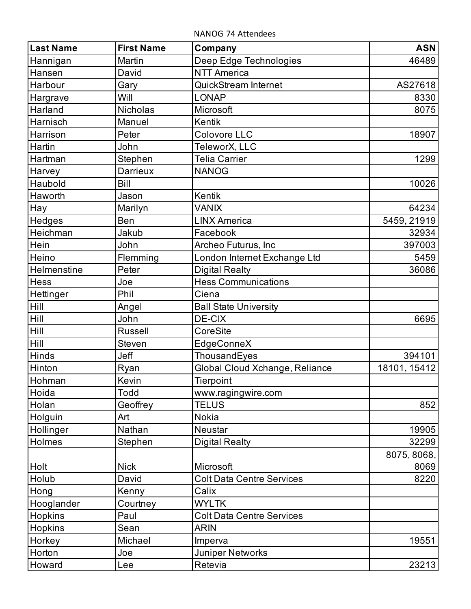NANOG 74 Attendees

| <b>Last Name</b> | <b>First Name</b> | Company                          | <b>ASN</b>   |
|------------------|-------------------|----------------------------------|--------------|
| Hannigan         | Martin            | Deep Edge Technologies           | 46489        |
| Hansen           | David             | <b>NTT America</b>               |              |
| Harbour          | Gary              | <b>QuickStream Internet</b>      | AS27618      |
| Hargrave         | Will              | <b>LONAP</b>                     | 8330         |
| Harland          | <b>Nicholas</b>   | Microsoft                        | 8075         |
| Harnisch         | Manuel            | Kentik                           |              |
| Harrison         | Peter             | <b>Colovore LLC</b>              | 18907        |
| Hartin           | John              | TeleworX, LLC                    |              |
| Hartman          | Stephen           | <b>Telia Carrier</b>             | 1299         |
| Harvey           | <b>Darrieux</b>   | <b>NANOG</b>                     |              |
| Haubold          | Bill              |                                  | 10026        |
| Haworth          | Jason             | Kentik                           |              |
| Hay              | Marilyn           | <b>VANIX</b>                     | 64234        |
| Hedges           | Ben               | <b>LINX America</b>              | 5459, 21919  |
| Heichman         | Jakub             | Facebook                         | 32934        |
| Hein             | John              | Archeo Futurus, Inc              | 397003       |
| Heino            | Flemming          | London Internet Exchange Ltd     | 5459         |
| Helmenstine      | Peter             | <b>Digital Realty</b>            | 36086        |
| <b>Hess</b>      | Joe               | <b>Hess Communications</b>       |              |
| Hettinger        | Phil              | Ciena                            |              |
| Hill             | Angel             | <b>Ball State University</b>     |              |
| Hill             | John              | <b>DE-CIX</b>                    | 6695         |
| Hill             | <b>Russell</b>    | CoreSite                         |              |
| Hill             | <b>Steven</b>     | EdgeConneX                       |              |
| Hinds            | Jeff              | ThousandEyes                     | 394101       |
| Hinton           | Ryan              | Global Cloud Xchange, Reliance   | 18101, 15412 |
| Hohman           | Kevin             | Tierpoint                        |              |
| Hoida            | Todd              | www.ragingwire.com               |              |
| Holan            | Geoffrey          | <b>TELUS</b>                     | 852          |
| Holguin          | Art               | <b>Nokia</b>                     |              |
| Hollinger        | Nathan            | Neustar                          | 19905        |
| Holmes           | Stephen           | <b>Digital Realty</b>            | 32299        |
|                  |                   |                                  | 8075, 8068,  |
| Holt             | <b>Nick</b>       | Microsoft                        | 8069         |
| Holub            | David             | <b>Colt Data Centre Services</b> | 8220         |
| Hong             | Kenny             | Calix                            |              |
| Hooglander       | Courtney          | <b>WYLTK</b>                     |              |
| <b>Hopkins</b>   | Paul              | <b>Colt Data Centre Services</b> |              |
| Hopkins          | Sean              | <b>ARIN</b>                      |              |
| Horkey           | Michael           | Imperva                          | 19551        |
| Horton           | Joe               | <b>Juniper Networks</b>          |              |
| Howard           | Lee               | Retevia                          | 23213        |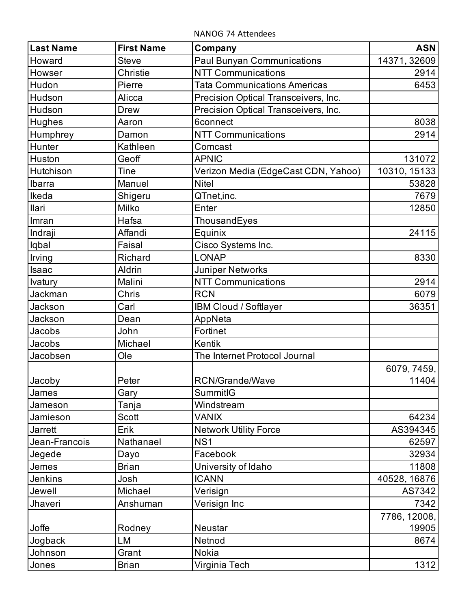NANOG 74 Attendees

| <b>Last Name</b> | <b>First Name</b> | Company                              | <b>ASN</b>   |
|------------------|-------------------|--------------------------------------|--------------|
| Howard           | <b>Steve</b>      | <b>Paul Bunyan Communications</b>    | 14371, 32609 |
| Howser           | Christie          | <b>NTT Communications</b>            | 2914         |
| Hudon            | Pierre            | <b>Tata Communications Americas</b>  | 6453         |
| Hudson           | Alicca            | Precision Optical Transceivers, Inc. |              |
| Hudson           | <b>Drew</b>       | Precision Optical Transceivers, Inc. |              |
| <b>Hughes</b>    | Aaron             | <b>6connect</b>                      | 8038         |
| Humphrey         | Damon             | <b>NTT Communications</b>            | 2914         |
| Hunter           | Kathleen          | Comcast                              |              |
| Huston           | Geoff             | <b>APNIC</b>                         | 131072       |
| Hutchison        | Tine              | Verizon Media (EdgeCast CDN, Yahoo)  | 10310, 15133 |
| Ibarra           | Manuel            | <b>Nitel</b>                         | 53828        |
| Ikeda            | Shigeru           | QTnet,inc.                           | 7679         |
| llari            | Milko             | Enter                                | 12850        |
| Imran            | Hafsa             | ThousandEyes                         |              |
| Indraji          | Affandi           | Equinix                              | 24115        |
| Iqbal            | Faisal            | Cisco Systems Inc.                   |              |
| Irving           | Richard           | <b>LONAP</b>                         | 8330         |
| Isaac            | Aldrin            | <b>Juniper Networks</b>              |              |
| <b>Ivatury</b>   | Malini            | <b>NTT Communications</b>            | 2914         |
| Jackman          | Chris             | <b>RCN</b>                           | 6079         |
| Jackson          | Carl              | IBM Cloud / Softlayer                | 36351        |
| Jackson          | Dean              | AppNeta                              |              |
| Jacobs           | John              | Fortinet                             |              |
| Jacobs           | Michael           | Kentik                               |              |
| Jacobsen         | Ole               | The Internet Protocol Journal        |              |
|                  |                   |                                      | 6079, 7459,  |
| Jacoby           | Peter             | <b>RCN/Grande/Wave</b>               | 11404        |
| James            | Gary              | SummitIG                             |              |
| Jameson          | Tanja             | Windstream                           |              |
| Jamieson         | Scott             | <b>VANIX</b>                         | 64234        |
| Jarrett          | Erik              | <b>Network Utility Force</b>         | AS394345     |
| Jean-Francois    | Nathanael         | NS <sub>1</sub>                      | 62597        |
| Jegede           | Dayo              | Facebook                             | 32934        |
| Jemes            | <b>Brian</b>      | University of Idaho                  | 11808        |
| Jenkins          | Josh              | <b>ICANN</b>                         | 40528, 16876 |
| Jewell           | Michael           | Verisign                             | AS7342       |
| Jhaveri          | Anshuman          | Verisign Inc                         | 7342         |
|                  |                   |                                      | 7786, 12008, |
| Joffe            | Rodney            | Neustar                              | 19905        |
| Jogback          | LM                | Netnod                               | 8674         |
| Johnson          | Grant             | Nokia                                |              |
| Jones            | <b>Brian</b>      | Virginia Tech                        | 1312         |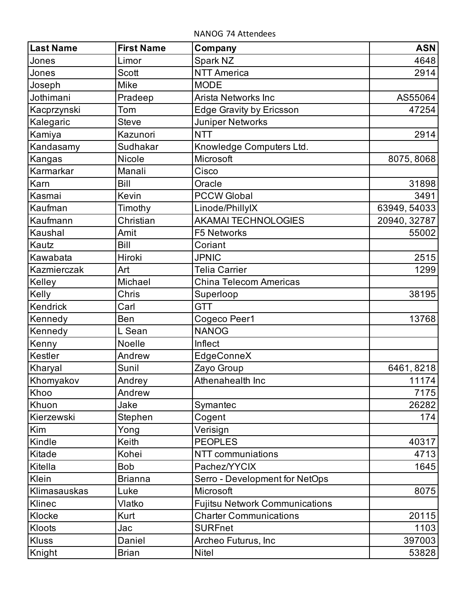NANOG 74 Attendees

| <b>Last Name</b> | <b>First Name</b> | Company                               | <b>ASN</b>   |
|------------------|-------------------|---------------------------------------|--------------|
| Jones            | Limor             | Spark NZ                              | 4648         |
| Jones            | Scott             | <b>NTT America</b>                    | 2914         |
| Joseph           | Mike              | <b>MODE</b>                           |              |
| Jothimani        | Pradeep           | <b>Arista Networks Inc</b>            | AS55064      |
| Kacprzynski      | Tom               | <b>Edge Gravity by Ericsson</b>       | 47254        |
| Kalegaric        | <b>Steve</b>      | <b>Juniper Networks</b>               |              |
| Kamiya           | Kazunori          | <b>NTT</b>                            | 2914         |
| Kandasamy        | Sudhakar          | Knowledge Computers Ltd.              |              |
| Kangas           | Nicole            | Microsoft                             | 8075, 8068   |
| Karmarkar        | Manali            | Cisco                                 |              |
| Karn             | <b>Bill</b>       | Oracle                                | 31898        |
| Kasmai           | Kevin             | <b>PCCW Global</b>                    | 3491         |
| Kaufman          | Timothy           | Linode/PhillyIX                       | 63949, 54033 |
| Kaufmann         | Christian         | <b>AKAMAI TECHNOLOGIES</b>            | 20940, 32787 |
| Kaushal          | Amit              | <b>F5 Networks</b>                    | 55002        |
| Kautz            | <b>Bill</b>       | Coriant                               |              |
| Kawabata         | Hiroki            | <b>JPNIC</b>                          | 2515         |
| Kazmierczak      | Art               | <b>Telia Carrier</b>                  | 1299         |
| Kelley           | Michael           | <b>China Telecom Americas</b>         |              |
| Kelly            | Chris             | Superloop                             | 38195        |
| Kendrick         | Carl              | <b>GTT</b>                            |              |
| Kennedy          | Ben               | Cogeco Peer1                          | 13768        |
| Kennedy          | L Sean            | <b>NANOG</b>                          |              |
| Kenny            | Noelle            | Inflect                               |              |
| Kestler          | Andrew            | EdgeConneX                            |              |
| Kharyal          | Sunil             | Zayo Group                            | 6461, 8218   |
| Khomyakov        | Andrey            | Athenahealth Inc                      | 11174        |
| Khoo             | Andrew            |                                       | 7175         |
| Khuon            | Jake              | Symantec                              | 26282        |
| Kierzewski       | Stephen           | Cogent                                | 174          |
| Kim              | Yong              | Verisign                              |              |
| Kindle           | Keith             | <b>PEOPLES</b>                        | 40317        |
| Kitade           | Kohei             | NTT communiations                     | 4713         |
| Kitella          | <b>Bob</b>        | Pachez/YYCIX                          | 1645         |
| Klein            | <b>Brianna</b>    | Serro - Development for NetOps        |              |
| Klimasauskas     | Luke              | Microsoft                             | 8075         |
| Klinec           | Vlatko            | <b>Fujitsu Network Communications</b> |              |
| Klocke           | <b>Kurt</b>       | <b>Charter Communications</b>         | 20115        |
| Kloots           | Jac               | <b>SURFnet</b>                        | 1103         |
| <b>Kluss</b>     | Daniel            | Archeo Futurus, Inc                   | 397003       |
| Knight           | <b>Brian</b>      | <b>Nitel</b>                          | 53828        |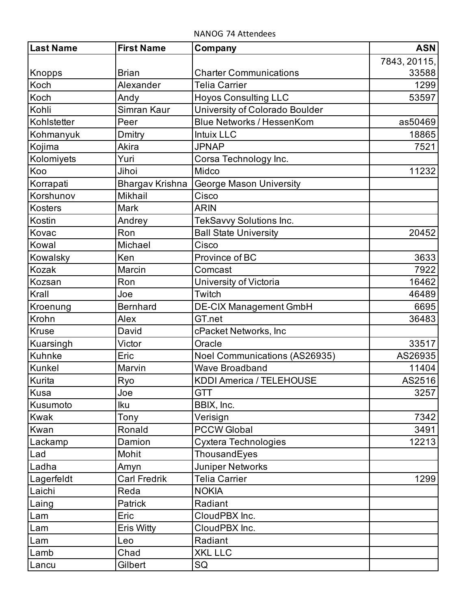NANOG 74 Attendees

| Last Name    | <b>First Name</b>   | Company                          | <b>ASN</b>   |
|--------------|---------------------|----------------------------------|--------------|
|              |                     |                                  | 7843, 20115, |
| Knopps       | <b>Brian</b>        | <b>Charter Communications</b>    | 33588        |
| Koch         | Alexander           | <b>Telia Carrier</b>             | 1299         |
| Koch         | Andy                | <b>Hoyos Consulting LLC</b>      | 53597        |
| Kohli        | Simran Kaur         | University of Colorado Boulder   |              |
| Kohlstetter  | Peer                | <b>Blue Networks / HessenKom</b> | as50469      |
| Kohmanyuk    | Dmitry              | <b>Intuix LLC</b>                | 18865        |
| Kojima       | Akira               | <b>JPNAP</b>                     | 7521         |
| Kolomiyets   | Yuri                | Corsa Technology Inc.            |              |
| Koo          | Jihoi               | Midco                            | 11232        |
| Korrapati    | Bhargav Krishna     | <b>George Mason University</b>   |              |
| Korshunov    | <b>Mikhail</b>      | Cisco                            |              |
| Kosters      | Mark                | <b>ARIN</b>                      |              |
| Kostin       | Andrey              | TekSavvy Solutions Inc.          |              |
| Kovac        | Ron                 | <b>Ball State University</b>     | 20452        |
| Kowal        | Michael             | Cisco                            |              |
| Kowalsky     | Ken                 | Province of BC                   | 3633         |
| Kozak        | Marcin              | Comcast                          | 7922         |
| Kozsan       | Ron                 | University of Victoria           | 16462        |
| Krall        | Joe                 | Twitch                           | 46489        |
| Kroenung     | <b>Bernhard</b>     | <b>DE-CIX Management GmbH</b>    | 6695         |
| Krohn        | Alex                | GT.net                           | 36483        |
| <b>Kruse</b> | David               | cPacket Networks, Inc            |              |
| Kuarsingh    | Victor              | Oracle                           | 33517        |
| Kuhnke       | Eric                | Noel Communications (AS26935)    | AS26935      |
| Kunkel       | Marvin              | <b>Wave Broadband</b>            | 11404        |
| Kurita       | $Ry_2$              | <b>KDDI America / TELEHOUSE</b>  | AS2516       |
| Kusa         | Joe                 | <b>GTT</b>                       | 3257         |
| Kusumoto     | lku                 | BBIX, Inc.                       |              |
| <b>Kwak</b>  | Tony                | Verisign                         | 7342         |
| Kwan         | Ronald              | <b>PCCW Global</b>               | 3491         |
| Lackamp      | Damion              | Cyxtera Technologies             | 12213        |
| Lad          | Mohit               | ThousandEyes                     |              |
| Ladha        | Amyn                | <b>Juniper Networks</b>          |              |
| Lagerfeldt   | <b>Carl Fredrik</b> | <b>Telia Carrier</b>             | 1299         |
| Laichi       | Reda                | <b>NOKIA</b>                     |              |
| Laing        | Patrick             | Radiant                          |              |
| Lam          | Eric                | CloudPBX Inc.                    |              |
| Lam          | Eris Witty          | CloudPBX Inc.                    |              |
| Lam          | Leo                 | Radiant                          |              |
| Lamb         | Chad                | <b>XKL LLC</b>                   |              |
| Lancu        | Gilbert             | SQ                               |              |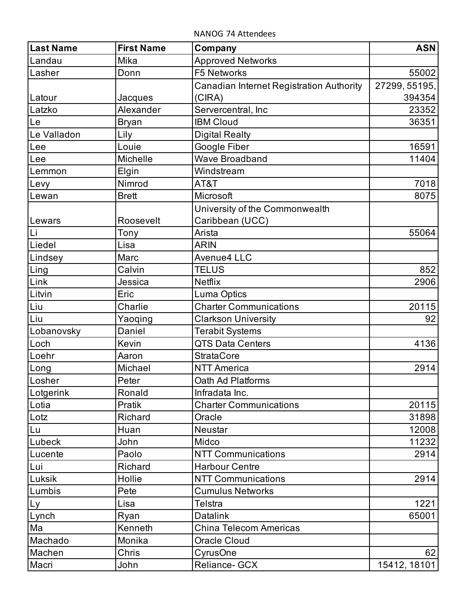NANOG 74 Attendees

| <b>Last Name</b> | <b>First Name</b> | Company                                  | <b>ASN</b>    |
|------------------|-------------------|------------------------------------------|---------------|
| Landau           | Mika              | <b>Approved Networks</b>                 |               |
| Lasher           | Donn              | <b>F5 Networks</b>                       | 55002         |
|                  |                   | Canadian Internet Registration Authority | 27299, 55195, |
| Latour           | Jacques           | (CIRA)                                   | 394354        |
| Latzko           | Alexander         | Servercentral, Inc                       | 23352         |
| Le               | <b>Bryan</b>      | <b>IBM Cloud</b>                         | 36351         |
| Le Valladon      | Lily              | <b>Digital Realty</b>                    |               |
| Lee              | Louie             | Google Fiber                             | 16591         |
| Lee              | Michelle          | <b>Wave Broadband</b>                    | 11404         |
| Lemmon           | Elgin             | Windstream                               |               |
| Levy             | Nimrod            | AT&T                                     | 7018          |
| Lewan            | <b>Brett</b>      | Microsoft                                | 8075          |
|                  |                   | University of the Commonwealth           |               |
| Lewars           | Roosevelt         | Caribbean (UCC)                          |               |
| Li               | Tony              | Arista                                   | 55064         |
| Liedel           | Lisa              | <b>ARIN</b>                              |               |
| Lindsey          | Marc              | <b>Avenue4 LLC</b>                       |               |
| Ling             | Calvin            | <b>TELUS</b>                             | 852           |
| Link             | Jessica           | <b>Netflix</b>                           | 2906          |
| Litvin           | Eric              | Luma Optics                              |               |
| Liu              | Charlie           | <b>Charter Communications</b>            | 20115         |
| Liu              | Yaoqing           | <b>Clarkson University</b>               | 92            |
| Lobanovsky       | Daniel            | <b>Terabit Systems</b>                   |               |
| Loch             | Kevin             | <b>QTS Data Centers</b>                  | 4136          |
| Loehr            | Aaron             | <b>StrataCore</b>                        |               |
| Long             | Michael           | <b>NTT America</b>                       | 2914          |
| Losher           | Peter             | Oath Ad Platforms                        |               |
| Lotgerink        | Ronald            | Infradata Inc.                           |               |
| Lotia            | Pratik            | <b>Charter Communications</b>            | 20115         |
| Lotz             | Richard           | Oracle                                   | 31898         |
| Lu               | Huan              | Neustar                                  | 12008         |
| Lubeck           | John              | Midco                                    | 11232         |
| Lucente          | Paolo             | <b>NTT Communications</b>                | 2914          |
| Lui              | Richard           | <b>Harbour Centre</b>                    |               |
| Luksik           | Hollie            | <b>NTT Communications</b>                | 2914          |
| Lumbis           | Pete              | <b>Cumulus Networks</b>                  |               |
| Ly               | Lisa              | Telstra                                  | 1221          |
| Lynch            | Ryan              | <b>Datalink</b>                          | 65001         |
| Ma               | Kenneth           | <b>China Telecom Americas</b>            |               |
| Machado          | Monika            | <b>Oracle Cloud</b>                      |               |
| Machen           | Chris             | CyrusOne                                 | 62            |
| Macri            | John              | Reliance- GCX                            | 15412, 18101  |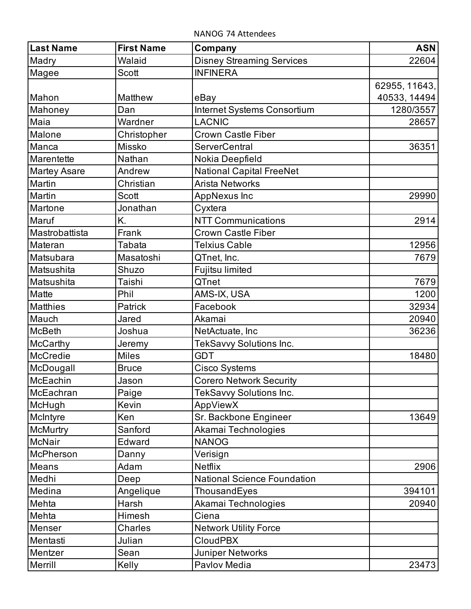NANOG 74 Attendees

| <b>Last Name</b>    | <b>First Name</b> | Company                            | <b>ASN</b>    |
|---------------------|-------------------|------------------------------------|---------------|
| Madry               | Walaid            | <b>Disney Streaming Services</b>   | 22604         |
| Magee               | Scott             | <b>INFINERA</b>                    |               |
|                     |                   |                                    | 62955, 11643, |
| Mahon               | <b>Matthew</b>    | eBay                               | 40533, 14494  |
| Mahoney             | Dan               | Internet Systems Consortium        | 1280/3557     |
| Maia                | Wardner           | <b>LACNIC</b>                      | 28657         |
| Malone              | Christopher       | <b>Crown Castle Fiber</b>          |               |
| Manca               | <b>Missko</b>     | <b>ServerCentral</b>               | 36351         |
| Marentette          | Nathan            | Nokia Deepfield                    |               |
| <b>Martey Asare</b> | Andrew            | <b>National Capital FreeNet</b>    |               |
| Martin              | Christian         | Arista Networks                    |               |
| Martin              | Scott             | <b>AppNexus Inc</b>                | 29990         |
| Martone             | Jonathan          | Cyxtera                            |               |
| Maruf               | K.                | <b>NTT Communications</b>          | 2914          |
| Mastrobattista      | Frank             | <b>Crown Castle Fiber</b>          |               |
| Materan             | Tabata            | <b>Telxius Cable</b>               | 12956         |
| Matsubara           | Masatoshi         | QTnet, Inc.                        | 7679          |
| Matsushita          | Shuzo             | Fujitsu limited                    |               |
| Matsushita          | Taishi            | QTnet                              | 7679          |
| Matte               | Phil              | AMS-IX, USA                        | 1200          |
| <b>Matthies</b>     | Patrick           | Facebook                           | 32934         |
| Mauch               | Jared             | Akamai                             | 20940         |
| <b>McBeth</b>       | Joshua            | NetActuate, Inc                    | 36236         |
| McCarthy            | Jeremy            | TekSavvy Solutions Inc.            |               |
| McCredie            | <b>Miles</b>      | <b>GDT</b>                         | 18480         |
| McDougall           | <b>Bruce</b>      | Cisco Systems                      |               |
| McEachin            | Jason             | <b>Corero Network Security</b>     |               |
| McEachran           | Paige             | TekSavvy Solutions Inc.            |               |
| McHugh              | Kevin             | AppViewX                           |               |
| McIntyre            | Ken               | Sr. Backbone Engineer              | 13649         |
| <b>McMurtry</b>     | Sanford           | Akamai Technologies                |               |
| <b>McNair</b>       | Edward            | <b>NANOG</b>                       |               |
| McPherson           | Danny             | Verisign                           |               |
| Means               | Adam              | <b>Netflix</b>                     | 2906          |
| Medhi               | Deep              | <b>National Science Foundation</b> |               |
| Medina              | Angelique         | ThousandEyes                       | 394101        |
| Mehta               | Harsh             | Akamai Technologies                | 20940         |
| Mehta               | Himesh            | Ciena                              |               |
| Menser              | <b>Charles</b>    | <b>Network Utility Force</b>       |               |
| Mentasti            | Julian            | <b>CloudPBX</b>                    |               |
| Mentzer             | Sean              | Juniper Networks                   |               |
| Merrill             | Kelly             | Pavlov Media                       | 23473         |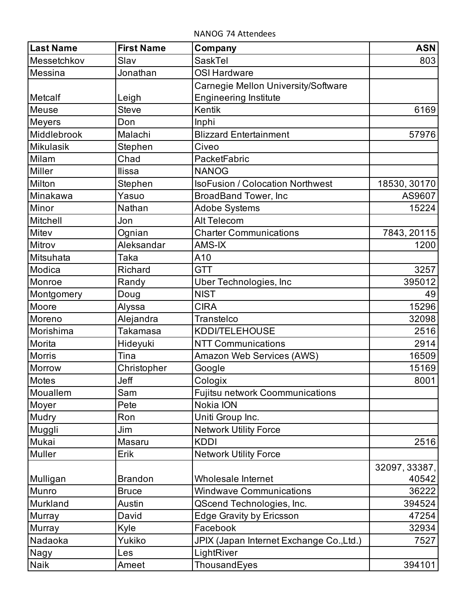NANOG 74 Attendees

| <b>Last Name</b> | <b>First Name</b> | Company                                  | <b>ASN</b>    |
|------------------|-------------------|------------------------------------------|---------------|
| Messetchkov      | Slav              | SaskTel                                  | 803           |
| Messina          | Jonathan          | <b>OSI Hardware</b>                      |               |
|                  |                   | Carnegie Mellon University/Software      |               |
| Metcalf          | Leigh             | <b>Engineering Institute</b>             |               |
| <b>Meuse</b>     | <b>Steve</b>      | Kentik                                   | 6169          |
| <b>Meyers</b>    | Don               | Inphi                                    |               |
| Middlebrook      | Malachi           | <b>Blizzard Entertainment</b>            | 57976         |
| <b>Mikulasik</b> | Stephen           | Civeo                                    |               |
| Milam            | Chad              | PacketFabric                             |               |
| Miller           | <b>Ilissa</b>     | <b>NANOG</b>                             |               |
| Milton           | Stephen           | <b>IsoFusion / Colocation Northwest</b>  | 18530, 30170  |
| Minakawa         | Yasuo             | <b>BroadBand Tower, Inc</b>              | AS9607        |
| Minor            | Nathan            | <b>Adobe Systems</b>                     | 15224         |
| Mitchell         | Jon               | Alt Telecom                              |               |
| Mitev            | Ognian            | <b>Charter Communications</b>            | 7843, 20115   |
| Mitrov           | Aleksandar        | AMS-IX                                   | 1200          |
| Mitsuhata        | Taka              | A10                                      |               |
| Modica           | Richard           | <b>GTT</b>                               | 3257          |
| Monroe           | Randy             | <b>Uber Technologies, Inc</b>            | 395012        |
| Montgomery       | Doug              | <b>NIST</b>                              | 49            |
| Moore            | Alyssa            | <b>CIRA</b>                              | 15296         |
| Moreno           | Alejandra         | Transtelco                               | 32098         |
| Morishima        | Takamasa          | <b>KDDI/TELEHOUSE</b>                    | 2516          |
| Morita           | Hideyuki          | <b>NTT Communications</b>                | 2914          |
| <b>Morris</b>    | Tina              | Amazon Web Services (AWS)                | 16509         |
| Morrow           | Christopher       | Google                                   | 15169         |
| <b>Motes</b>     | Jeff              | Cologix                                  | 8001          |
| Mouallem         | Sam               | Fujitsu network Coommunications          |               |
| Moyer            | Pete              | Nokia ION                                |               |
| Mudry            | Ron               | Uniti Group Inc.                         |               |
| Muggli           | Jim               | <b>Network Utility Force</b>             |               |
| Mukai            | Masaru            | <b>KDDI</b>                              | 2516          |
| Muller           | Erik              | <b>Network Utility Force</b>             |               |
|                  |                   |                                          | 32097, 33387, |
| Mulligan         | <b>Brandon</b>    | Wholesale Internet                       | 40542         |
| Munro            | <b>Bruce</b>      | <b>Windwave Communications</b>           | 36222         |
| Murkland         | Austin            | QScend Technologies, Inc.                | 394524        |
| Murray           | David             | <b>Edge Gravity by Ericsson</b>          | 47254         |
| Murray           | Kyle              | Facebook                                 | 32934         |
| Nadaoka          | Yukiko            | JPIX (Japan Internet Exchange Co., Ltd.) | 7527          |
| Nagy             | Les               | LightRiver                               |               |
| Naik             | Ameet             | ThousandEyes                             | 394101        |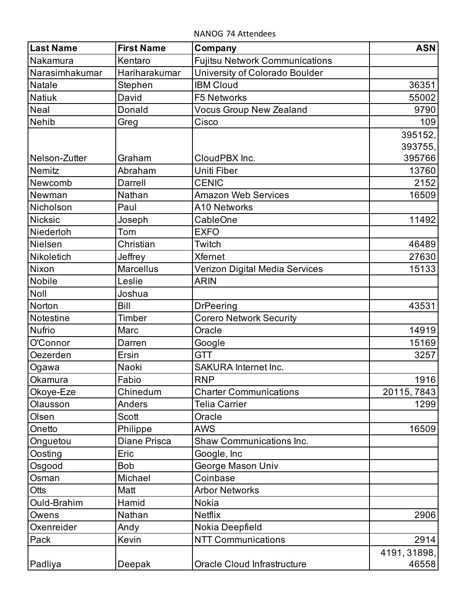NANOG 74 Attendees

| <b>Last Name</b> | <b>First Name</b>   | Company                               | <b>ASN</b>   |
|------------------|---------------------|---------------------------------------|--------------|
| Nakamura         | Kentaro             | <b>Fujitsu Network Communications</b> |              |
| Narasimhakumar   | Hariharakumar       | University of Colorado Boulder        |              |
| <b>Natale</b>    | Stephen             | <b>IBM Cloud</b>                      | 36351        |
| <b>Natiuk</b>    | David               | <b>F5 Networks</b>                    | 55002        |
| <b>Neal</b>      | Donald              | <b>Vocus Group New Zealand</b>        | 9790         |
| <b>Nehib</b>     | Greg                | Cisco                                 | 109          |
|                  |                     |                                       | 395152,      |
|                  |                     |                                       | 393755,      |
| Nelson-Zutter    | Graham              | CloudPBX Inc.                         | 395766       |
| Nemitz           | Abraham             | Uniti Fiber                           | 13760        |
| Newcomb          | Darrell             | <b>CENIC</b>                          | 2152         |
| Newman           | Nathan              | <b>Amazon Web Services</b>            | 16509        |
| Nicholson        | Paul                | A10 Networks                          |              |
| <b>Nicksic</b>   | Joseph              | CableOne                              | 11492        |
| Niederloh        | Tom                 | <b>EXFO</b>                           |              |
| Nielsen          | Christian           | Twitch                                | 46489        |
| Nikoletich       | Jeffrey             | <b>Xfernet</b>                        | 27630        |
| Nixon            | <b>Marcellus</b>    | Verizon Digital Media Services        | 15133        |
| <b>Nobile</b>    | Leslie              | <b>ARIN</b>                           |              |
| Noll             | Joshua              |                                       |              |
| Norton           | <b>Bill</b>         | <b>DrPeering</b>                      | 43531        |
| Notestine        | Timber              | <b>Corero Network Security</b>        |              |
| <b>Nufrio</b>    | Marc                | Oracle                                | 14919        |
| O'Connor         | Darren              | Google                                | 15169        |
| Oezerden         | Ersin               | <b>GTT</b>                            | 3257         |
| Ogawa            | Naoki               | <b>SAKURA Internet Inc.</b>           |              |
| Okamura          | Fabio               | <b>RNP</b>                            | 1916         |
| Okoye-Eze        | Chinedum            | <b>Charter Communications</b>         | 20115, 7843  |
| Olausson         | Anders              | Telia Carrier                         | 1299         |
| Olsen            | Scott               | Oracle                                |              |
| Onetto           | Philippe            | AWS                                   | 16509        |
| Onguetou         | <b>Diane Prisca</b> | <b>Shaw Communications Inc.</b>       |              |
| Oosting          | Eric                | Google, Inc                           |              |
| Osgood           | <b>Bob</b>          | George Mason Univ                     |              |
| Osman            | Michael             | Coinbase                              |              |
| Otts             | Matt                | <b>Arbor Networks</b>                 |              |
| Ould-Brahim      | Hamid               | Nokia                                 |              |
| Owens            | Nathan              | <b>Netflix</b>                        | 2906         |
| Oxenreider       | Andy                | Nokia Deepfield                       |              |
| Pack             | Kevin               | <b>NTT Communications</b>             | 2914         |
|                  |                     |                                       | 4191, 31898, |
| Padliya          | Deepak              | Oracle Cloud Infrastructure           | 46558        |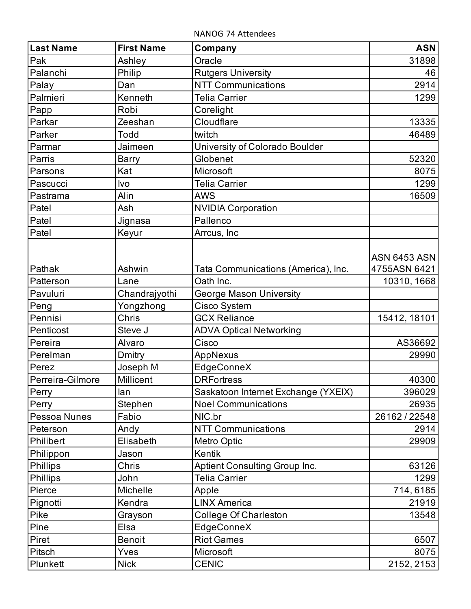NANOG 74 Attendees

| <b>Last Name</b> | <b>First Name</b>  | Company                                          | <b>ASN</b>                          |
|------------------|--------------------|--------------------------------------------------|-------------------------------------|
| Pak              | Ashley             | Oracle                                           | 31898                               |
| Palanchi         | Philip             | <b>Rutgers University</b>                        | 46                                  |
| Palay            | Dan                | <b>NTT Communications</b>                        | 2914                                |
| Palmieri         | Kenneth            | Telia Carrier                                    | 1299                                |
| Papp             | Robi               | Corelight                                        |                                     |
| Parkar           | Zeeshan            | Cloudflare                                       | 13335                               |
| Parker           | Todd               | twitch                                           | 46489                               |
| Parmar           | Jaimeen            | University of Colorado Boulder                   |                                     |
| Parris           | <b>Barry</b>       | Globenet                                         | 52320                               |
| Parsons          | Kat                | Microsoft                                        | 8075                                |
| Pascucci         | Ivo                | <b>Telia Carrier</b>                             | 1299                                |
| Pastrama         | Alin               | <b>AWS</b>                                       | 16509                               |
| Patel            | Ash                | <b>NVIDIA Corporation</b>                        |                                     |
| Patel            | Jignasa            | Pallenco                                         |                                     |
| Patel            | Keyur              | Arrcus, Inc                                      |                                     |
| Pathak           | Ashwin             |                                                  | <b>ASN 6453 ASN</b><br>4755ASN 6421 |
| Patterson        | Lane               | Tata Communications (America), Inc.<br>Oath Inc. |                                     |
| Pavuluri         |                    |                                                  | 10310, 1668                         |
|                  | Chandrajyothi      | George Mason University                          |                                     |
| Peng<br>Pennisi  | Yongzhong<br>Chris | Cisco System<br><b>GCX Reliance</b>              | 15412, 18101                        |
| Penticost        | Steve J            | <b>ADVA Optical Networking</b>                   |                                     |
| Pereira          | Alvaro             | Cisco                                            | AS36692                             |
| Perelman         | Dmitry             |                                                  | 29990                               |
| Perez            | Joseph M           | AppNexus<br>EdgeConneX                           |                                     |
| Perreira-Gilmore | Millicent          | <b>DRFortress</b>                                | 40300                               |
| Perry            | lan                | Saskatoon Internet Exchange (YXEIX)              | 396029                              |
| Perry            | Stephen            | <b>Noel Communications</b>                       | 26935                               |
| Pessoa Nunes     | Fabio              | NIC.br                                           | 26162 / 22548                       |
| Peterson         | Andy               | <b>NTT Communications</b>                        | 2914                                |
| Philibert        | Elisabeth          | Metro Optic                                      | 29909                               |
| Philippon        | Jason              | Kentik                                           |                                     |
| <b>Phillips</b>  | Chris              | <b>Aptient Consulting Group Inc.</b>             | 63126                               |
| Phillips         | John               | <b>Telia Carrier</b>                             | 1299                                |
| Pierce           | Michelle           | Apple                                            | 714, 6185                           |
| Pignotti         | Kendra             | <b>LINX America</b>                              | 21919                               |
| Pike             | Grayson            | <b>College Of Charleston</b>                     | 13548                               |
| Pine             | Elsa               | EdgeConneX                                       |                                     |
| Piret            | <b>Benoit</b>      | <b>Riot Games</b>                                | 6507                                |
| Pitsch           | Yves               | Microsoft                                        | 8075                                |
| Plunkett         | <b>Nick</b>        | <b>CENIC</b>                                     | 2152, 2153                          |
|                  |                    |                                                  |                                     |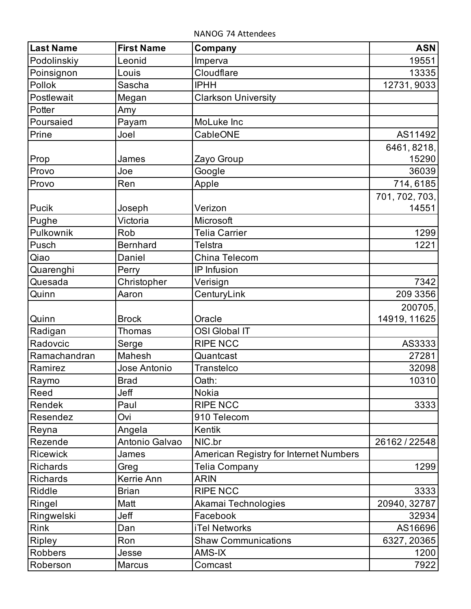NANOG 74 Attendees

| <b>Last Name</b> | <b>First Name</b> | Company                                | <b>ASN</b>     |
|------------------|-------------------|----------------------------------------|----------------|
| Podolinskiy      | Leonid            | Imperva                                | 19551          |
| Poinsignon       | Louis             | Cloudflare                             | 13335          |
| Pollok           | Sascha            | <b>IPHH</b>                            | 12731, 9033    |
| Postlewait       | Megan             | <b>Clarkson University</b>             |                |
| Potter           | Amy               |                                        |                |
| Poursaied        | Payam             | MoLuke Inc                             |                |
| Prine            | Joel              | CableONE                               | AS11492        |
|                  |                   |                                        | 6461, 8218,    |
| Prop             | James             | Zayo Group                             | 15290          |
| Provo            | Joe               | Google                                 | 36039          |
| Provo            | Ren               | Apple                                  | 714, 6185      |
|                  |                   |                                        | 701, 702, 703, |
| Pucik            | Joseph            | Verizon                                | 14551          |
| Pughe            | Victoria          | Microsoft                              |                |
| Pulkownik        | Rob               | <b>Telia Carrier</b>                   | 1299           |
| Pusch            | <b>Bernhard</b>   | <b>Telstra</b>                         | 1221           |
| Qiao             | Daniel            | China Telecom                          |                |
| Quarenghi        | Perry             | IP Infusion                            |                |
| Quesada          | Christopher       | Verisign                               | 7342           |
| Quinn            | Aaron             | CenturyLink                            | 209 3356       |
|                  |                   |                                        | 200705,        |
| Quinn            | <b>Brock</b>      | Oracle                                 | 14919, 11625   |
| Radigan          | <b>Thomas</b>     | <b>OSI Global IT</b>                   |                |
| Radovcic         | Serge             | <b>RIPE NCC</b>                        | AS3333         |
| Ramachandran     | Mahesh            | Quantcast                              | 27281          |
| Ramirez          | Jose Antonio      | Transtelco                             | 32098          |
| Raymo            | <b>Brad</b>       | Oath:                                  | 10310          |
| Reed             | Jeff              | <b>Nokia</b>                           |                |
| Rendek           | Paul              | <b>RIPE NCC</b>                        | 3333           |
| Resendez         | Ovi               | 910 Telecom                            |                |
| Reyna            | Angela            | Kentik                                 |                |
| Rezende          | Antonio Galvao    | NIC.br                                 | 26162 / 22548  |
| <b>Ricewick</b>  | James             | American Registry for Internet Numbers |                |
| <b>Richards</b>  | Greg              | Telia Company                          | 1299           |
| Richards         | Kerrie Ann        | ARIN                                   |                |
| Riddle           | <b>Brian</b>      | <b>RIPE NCC</b>                        | 3333           |
| Ringel           | Matt              | Akamai Technologies                    | 20940, 32787   |
| Ringwelski       | Jeff              | Facebook                               | 32934          |
| Rink             | Dan               | <b>iTel Networks</b>                   | AS16696        |
| <b>Ripley</b>    | Ron               | <b>Shaw Communications</b>             | 6327, 20365    |
| <b>Robbers</b>   | Jesse             | AMS-IX                                 | 1200           |
| Roberson         | <b>Marcus</b>     | Comcast                                | 7922           |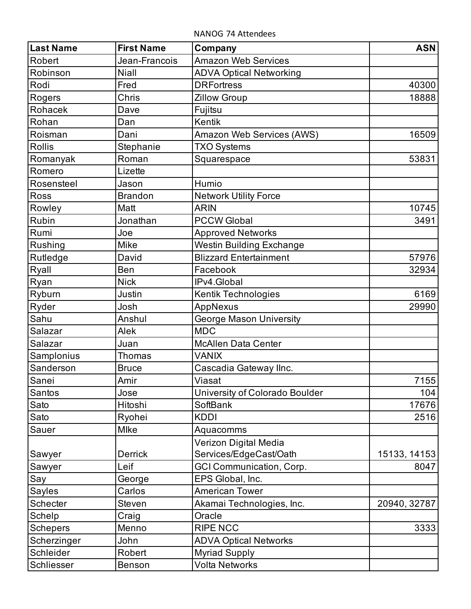NANOG 74 Attendees

| <b>Last Name</b> | <b>First Name</b> | Company                         | <b>ASN</b>   |
|------------------|-------------------|---------------------------------|--------------|
| Robert           | Jean-Francois     | <b>Amazon Web Services</b>      |              |
| Robinson         | <b>Niall</b>      | <b>ADVA Optical Networking</b>  |              |
| Rodi             | Fred              | <b>DRFortress</b>               | 40300        |
| Rogers           | <b>Chris</b>      | <b>Zillow Group</b>             | 18888        |
| Rohacek          | Dave              | Fujitsu                         |              |
| Rohan            | Dan               | Kentik                          |              |
| Roisman          | Dani              | Amazon Web Services (AWS)       | 16509        |
| <b>Rollis</b>    | Stephanie         | <b>TXO Systems</b>              |              |
| Romanyak         | Roman             | Squarespace                     | 53831        |
| Romero           | Lizette           |                                 |              |
| Rosensteel       | Jason             | Humio                           |              |
| Ross             | <b>Brandon</b>    | <b>Network Utility Force</b>    |              |
| Rowley           | Matt              | <b>ARIN</b>                     | 10745        |
| Rubin            | Jonathan          | <b>PCCW Global</b>              | 3491         |
| Rumi             | Joe               | <b>Approved Networks</b>        |              |
| Rushing          | Mike              | Westin Building Exchange        |              |
| Rutledge         | David             | <b>Blizzard Entertainment</b>   | 57976        |
| Ryall            | Ben               | Facebook                        | 32934        |
| Ryan             | <b>Nick</b>       | IPv4.Global                     |              |
| Ryburn           | Justin            | Kentik Technologies             | 6169         |
| Ryder            | Josh              | AppNexus                        | 29990        |
| Sahu             | Anshul            | George Mason University         |              |
| Salazar          | Alek              | <b>MDC</b>                      |              |
| Salazar          | Juan              | <b>McAllen Data Center</b>      |              |
| Samplonius       | <b>Thomas</b>     | <b>VANIX</b>                    |              |
| Sanderson        | <b>Bruce</b>      | Cascadia Gateway Ilnc.          |              |
| Sanei            | Amir              | Viasat                          | 7155         |
| Santos           | Jose              | University of Colorado Boulder  | 104          |
| Sato             | Hitoshi           | SoftBank                        | 17676        |
| Sato             | Ryohei            | <b>KDDI</b>                     | 2516         |
| Sauer            | <b>Mlke</b>       | Aquacomms                       |              |
|                  |                   | Verizon Digital Media           |              |
| Sawyer           | <b>Derrick</b>    | Services/EdgeCast/Oath          | 15133, 14153 |
| Sawyer           | Leif              | <b>GCI Communication, Corp.</b> | 8047         |
| Say              | George            | EPS Global, Inc.                |              |
| <b>Sayles</b>    | Carlos            | <b>American Tower</b>           |              |
| Schecter         | Steven            | Akamai Technologies, Inc.       | 20940, 32787 |
| Schelp           | Craig             | Oracle                          |              |
| <b>Schepers</b>  | Menno             | <b>RIPE NCC</b>                 | 3333         |
| Scherzinger      | John              | <b>ADVA Optical Networks</b>    |              |
| Schleider        | Robert            | <b>Myriad Supply</b>            |              |
| Schliesser       | Benson            | <b>Volta Networks</b>           |              |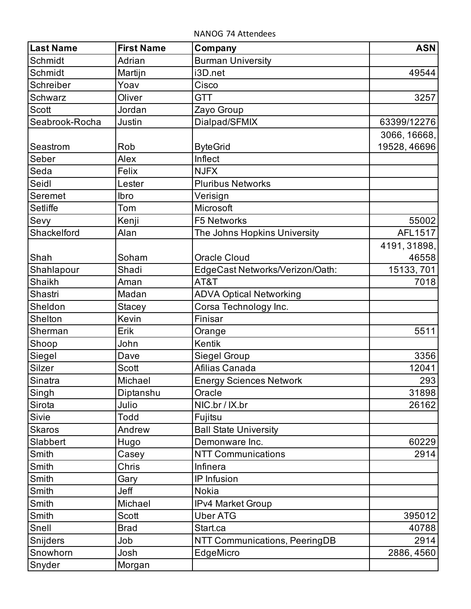NANOG 74 Attendees

| <b>Last Name</b> | <b>First Name</b> | Company                         | <b>ASN</b>   |
|------------------|-------------------|---------------------------------|--------------|
| Schmidt          | Adrian            | <b>Burman University</b>        |              |
| Schmidt          | Martijn           | i3D.net                         | 49544        |
| Schreiber        | Yoav              | Cisco                           |              |
| Schwarz          | Oliver            | <b>GTT</b>                      | 3257         |
| Scott            | Jordan            | Zayo Group                      |              |
| Seabrook-Rocha   | Justin            | Dialpad/SFMIX                   | 63399/12276  |
|                  |                   |                                 | 3066, 16668, |
| Seastrom         | Rob               | <b>ByteGrid</b>                 | 19528, 46696 |
| Seber            | Alex              | Inflect                         |              |
| Seda             | Felix             | <b>NJFX</b>                     |              |
| Seidl            | Lester            | <b>Pluribus Networks</b>        |              |
| Seremet          | Ibro              | Verisign                        |              |
| Setliffe         | Tom               | Microsoft                       |              |
| Sevy             | Kenji             | F5 Networks                     | 55002        |
| Shackelford      | Alan              | The Johns Hopkins University    | AFL1517      |
|                  |                   |                                 | 4191, 31898, |
| Shah             | Soham             | <b>Oracle Cloud</b>             | 46558        |
| Shahlapour       | Shadi             | EdgeCast Networks/Verizon/Oath: | 15133, 701   |
| Shaikh           | Aman              | AT&T                            | 7018         |
| Shastri          | Madan             | <b>ADVA Optical Networking</b>  |              |
| Sheldon          | <b>Stacey</b>     | Corsa Technology Inc.           |              |
| Shelton          | Kevin             | Finisar                         |              |
| Sherman          | Erik              | Orange                          | 5511         |
| Shoop            | John              | Kentik                          |              |
| Siegel           | Dave              | Siegel Group                    | 3356         |
| Silzer           | Scott             | Afilias Canada                  | 12041        |
| Sinatra          | Michael           | <b>Energy Sciences Network</b>  | 293          |
| Singh            | Diptanshu         | Oracle                          | 31898        |
| Sirota           | Julio             | NIC.br / IX.br                  | 26162        |
| Sivie            | <b>Todd</b>       | Fujitsu                         |              |
| <b>Skaros</b>    | Andrew            | <b>Ball State University</b>    |              |
| Slabbert         | Hugo              | Demonware Inc.                  | 60229        |
| Smith            | Casey             | <b>NTT Communications</b>       | 2914         |
| Smith            | Chris             | Infinera                        |              |
| Smith            | Gary              | IP Infusion                     |              |
| Smith            | Jeff              | <b>Nokia</b>                    |              |
| Smith            | Michael           | <b>IPv4 Market Group</b>        |              |
| Smith            | Scott             | <b>Uber ATG</b>                 | 395012       |
| Snell            | <b>Brad</b>       | Start.ca                        | 40788        |
| Snijders         | Job               | NTT Communications, PeeringDB   | 2914         |
| Snowhorn         | Josh              | EdgeMicro                       | 2886, 4560   |
| Snyder           | Morgan            |                                 |              |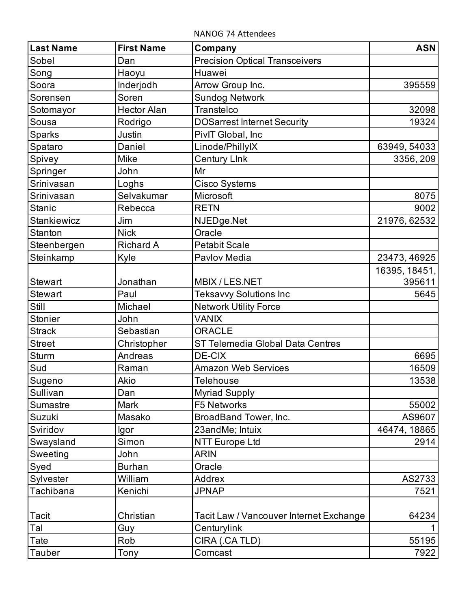NANOG 74 Attendees

| <b>Last Name</b>   | <b>First Name</b>  | Company                                 | <b>ASN</b>    |
|--------------------|--------------------|-----------------------------------------|---------------|
| Sobel              | Dan                | <b>Precision Optical Transceivers</b>   |               |
| Song               | Haoyu              | Huawei                                  |               |
| Soora              | Inderjodh          | Arrow Group Inc.                        | 395559        |
| Sorensen           | Soren              | <b>Sundog Network</b>                   |               |
| Sotomayor          | <b>Hector Alan</b> | Transtelco                              | 32098         |
| Sousa              | Rodrigo            | <b>DOSarrest Internet Security</b>      | 19324         |
| Sparks             | Justin             | PivIT Global, Inc.                      |               |
| Spataro            | Daniel             | Linode/PhillyIX                         | 63949, 54033  |
| Spivey             | Mike               | <b>Century Link</b>                     | 3356, 209     |
| Springer           | John               | Mr                                      |               |
| Srinivasan         | Loghs              | <b>Cisco Systems</b>                    |               |
| Srinivasan         | Selvakumar         | Microsoft                               | 8075          |
| <b>Stanic</b>      | Rebecca            | <b>RETN</b>                             | 9002          |
| <b>Stankiewicz</b> | Jim                | NJEDge.Net                              | 21976, 62532  |
| Stanton            | <b>Nick</b>        | Oracle                                  |               |
| Steenbergen        | <b>Richard A</b>   | <b>Petabit Scale</b>                    |               |
| Steinkamp          | Kyle               | Pavlov Media                            | 23473, 46925  |
|                    |                    |                                         | 16395, 18451, |
| <b>Stewart</b>     | Jonathan           | MBIX / LES.NET                          | 395611        |
| <b>Stewart</b>     | Paul               | <b>Teksavvy Solutions Inc</b>           | 5645          |
| Still              | Michael            | <b>Network Utility Force</b>            |               |
| <b>Stonier</b>     | John               | <b>VANIX</b>                            |               |
| <b>Strack</b>      | Sebastian          | <b>ORACLE</b>                           |               |
| <b>Street</b>      | Christopher        | ST Telemedia Global Data Centres        |               |
| <b>Sturm</b>       | Andreas            | <b>DE-CIX</b>                           | 6695          |
| Sud                | Raman              | <b>Amazon Web Services</b>              | 16509         |
| Sugeno             | Akio               | Telehouse                               | 13538         |
| Sullivan           | Dan                | <b>Myriad Supply</b>                    |               |
| <b>Sumastre</b>    | Mark               | <b>F5 Networks</b>                      | 55002         |
| Suzuki             | Masako             | BroadBand Tower, Inc.                   | AS9607        |
| Sviridov           | lgor               | 23andMe; Intuix                         | 46474, 18865  |
| Swaysland          | Simon              | <b>NTT Europe Ltd</b>                   | 2914          |
| Sweeting           | John               | <b>ARIN</b>                             |               |
| Syed               | <b>Burhan</b>      | Oracle                                  |               |
| Sylvester          | William            | <b>Addrex</b>                           | AS2733        |
| Tachibana          | Kenichi            | <b>JPNAP</b>                            | 7521          |
| <b>Tacit</b>       | Christian          | Tacit Law / Vancouver Internet Exchange | 64234         |
| Tal                | Guy                | Centurylink                             |               |
| Tate               | Rob                | CIRA (.CA TLD)                          | 55195         |
| <b>Tauber</b>      | Tony               | Comcast                                 | 7922          |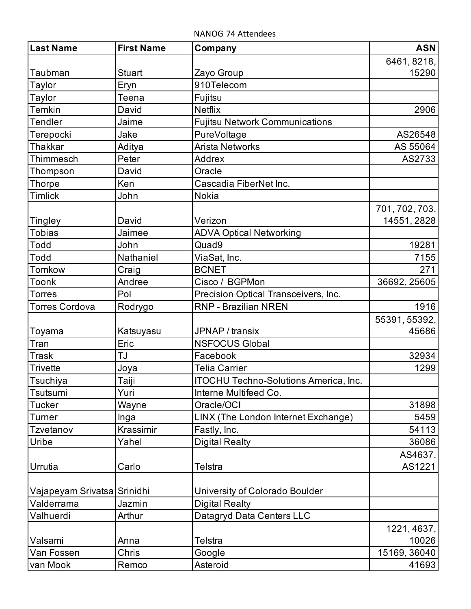NANOG 74 Attendees

| <b>Last Name</b>                 | <b>First Name</b>  | Company                               | <b>ASN</b>     |
|----------------------------------|--------------------|---------------------------------------|----------------|
|                                  |                    |                                       | 6461, 8218,    |
| Taubman                          | <b>Stuart</b>      | Zayo Group                            | 15290          |
| Taylor                           | Eryn               | 910Telecom                            |                |
| Taylor                           | Teena              | Fujitsu                               |                |
| <b>Temkin</b>                    | David              | Netflix                               | 2906           |
| Tendler                          | Jaime              | <b>Fujitsu Network Communications</b> |                |
| Terepocki                        | Jake               | PureVoltage                           | AS26548        |
| <b>Thakkar</b>                   | Aditya             | <b>Arista Networks</b>                | AS 55064       |
| Thimmesch                        | Peter              | Addrex                                | AS2733         |
| Thompson                         | David              | Oracle                                |                |
| <b>Thorpe</b>                    | Ken                | Cascadia FiberNet Inc.                |                |
| <b>Timlick</b>                   | John               | <b>Nokia</b>                          |                |
|                                  |                    |                                       | 701, 702, 703, |
| Tingley                          | David              | Verizon                               | 14551, 2828    |
| <b>Tobias</b>                    | Jaimee             | <b>ADVA Optical Networking</b>        |                |
| <b>Todd</b>                      | John               | Quad9                                 | 19281          |
| Todd                             | Nathaniel          | ViaSat, Inc.                          | 7155           |
| Tomkow                           | Craig              | <b>BCNET</b>                          | 271            |
| Toonk                            | Andree             | Cisco / BGPMon                        | 36692, 25605   |
| <b>Torres</b>                    | Pol                | Precision Optical Transceivers, Inc.  |                |
| <b>Torres Cordova</b>            | Rodrygo            | RNP - Brazilian NREN                  | 1916           |
|                                  |                    |                                       | 55391, 55392,  |
| Toyama                           | Katsuyasu          | JPNAP / transix                       | 45686          |
| Tran                             | Eric               | <b>NSFOCUS Global</b>                 |                |
| <b>Trask</b>                     | <b>TJ</b>          | Facebook                              | 32934          |
| <b>Trivette</b>                  | Joya               | <b>Telia Carrier</b>                  | 1299           |
| Tsuchiya                         | Taiji              | ITOCHU Techno-Solutions America, Inc. |                |
| Tsutsumi                         | Yuri               | Interne Multifeed Co.                 |                |
| <b>Tucker</b>                    | Wayne              | Oracle/OCI                            | 31898          |
| <b>Turner</b>                    | Inga               | LINX (The London Internet Exchange)   | 5459           |
| Tzvetanov                        | Krassimir          | Fastly, Inc.                          | 54113          |
| Uribe                            | Yahel              | <b>Digital Realty</b>                 | 36086          |
|                                  |                    |                                       | AS4637,        |
| Urrutia                          | Carlo              | Telstra                               | AS1221         |
|                                  |                    |                                       |                |
| Vajapeyam Srivatsa<br>Valderrama | Srinidhi<br>Jazmin | University of Colorado Boulder        |                |
|                                  |                    | <b>Digital Realty</b>                 |                |
| Valhuerdi                        | Arthur             | Datagryd Data Centers LLC             |                |
|                                  |                    |                                       | 1221, 4637,    |
| Valsami                          | Anna               | Telstra                               | 10026          |
| Van Fossen                       | Chris              | Google                                | 15169, 36040   |
| van Mook                         | Remco              | Asteroid                              | 41693          |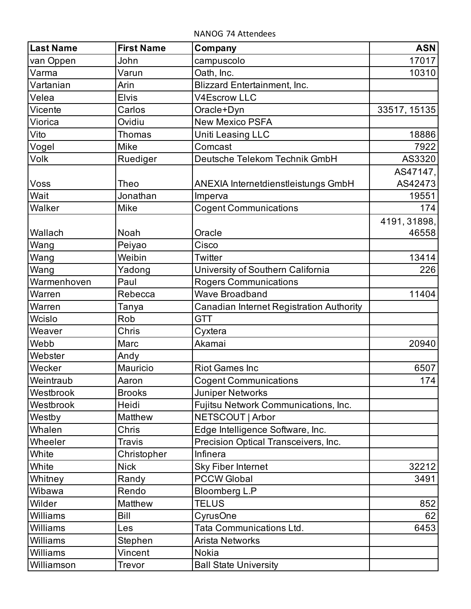NANOG 74 Attendees

| <b>Last Name</b> | <b>First Name</b> | Company                                    | <b>ASN</b>   |
|------------------|-------------------|--------------------------------------------|--------------|
| van Oppen        | John              | campuscolo                                 | 17017        |
| Varma            | Varun             | Oath, Inc.                                 | 10310        |
| Vartanian        | Arin              | <b>Blizzard Entertainment, Inc.</b>        |              |
| Velea            | <b>Elvis</b>      | V4Escrow LLC                               |              |
| Vicente          | Carlos            | Oracle+Dyn                                 | 33517, 15135 |
| Viorica          | Ovidiu            | <b>New Mexico PSFA</b>                     |              |
| Vito             | <b>Thomas</b>     | Uniti Leasing LLC                          | 18886        |
| Vogel            | Mike              | Comcast                                    | 7922         |
| Volk             | Ruediger          | Deutsche Telekom Technik GmbH              | AS3320       |
|                  |                   |                                            | AS47147,     |
| Voss             | Theo              | <b>ANEXIA Internetdienstleistungs GmbH</b> | AS42473      |
| Wait             | Jonathan          | Imperva                                    | 19551        |
| Walker           | Mike              | <b>Cogent Communications</b>               | 174          |
|                  |                   |                                            | 4191, 31898, |
| Wallach          | Noah              | Oracle                                     | 46558        |
| Wang             | Peiyao            | Cisco                                      |              |
| Wang             | Weibin            | Twitter                                    | 13414        |
| Wang             | Yadong            | University of Southern California          | 226          |
| Warmenhoven      | Paul              | <b>Rogers Communications</b>               |              |
| Warren           | Rebecca           | <b>Wave Broadband</b>                      | 11404        |
| Warren           | Tanya             | Canadian Internet Registration Authority   |              |
| Wcislo           | Rob               | <b>GTT</b>                                 |              |
| Weaver           | Chris             | Cyxtera                                    |              |
| Webb             | Marc              | Akamai                                     | 20940        |
| Webster          | Andy              |                                            |              |
| Wecker           | Mauricio          | <b>Riot Games Inc</b>                      | 6507         |
| Weintraub        | Aaron             | <b>Cogent Communications</b>               | 174          |
| Westbrook        | <b>Brooks</b>     | <b>Juniper Networks</b>                    |              |
| Westbrook        | Heidi             | Fujitsu Network Communications, Inc.       |              |
| Westby           | Matthew           | NETSCOUT   Arbor                           |              |
| Whalen           | Chris             | Edge Intelligence Software, Inc.           |              |
| Wheeler          | <b>Travis</b>     | Precision Optical Transceivers, Inc.       |              |
| White            | Christopher       | Infinera                                   |              |
| White            | <b>Nick</b>       | <b>Sky Fiber Internet</b>                  | 32212        |
| Whitney          | Randy             | <b>PCCW Global</b>                         | 3491         |
| Wibawa           | Rendo             | <b>Bloomberg L.P</b>                       |              |
| Wilder           | Matthew           | <b>TELUS</b>                               | 852          |
| Williams         | Bill              | CyrusOne                                   | 62           |
| Williams         | Les               | Tata Communications Ltd.                   | 6453         |
| Williams         | Stephen           | <b>Arista Networks</b>                     |              |
| Williams         | Vincent           | <b>Nokia</b>                               |              |
| Williamson       | Trevor            | <b>Ball State University</b>               |              |